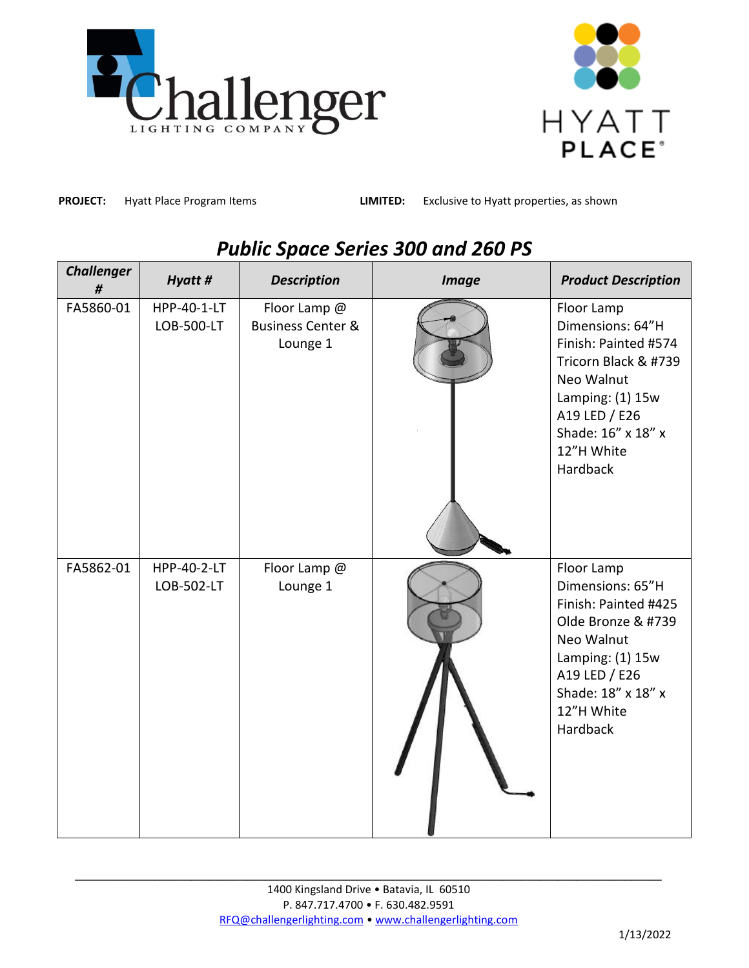



**PROJECT:** Hyatt Place Program Items

**LIMITED:** Exclusive to Hyatt properties, as shown

| <b>Challenger</b><br>$\#$ | Hyatt #                   | <b>Description</b>                                       | <b>Image</b> | <b>Product Description</b>                                                                                                                                                        |
|---------------------------|---------------------------|----------------------------------------------------------|--------------|-----------------------------------------------------------------------------------------------------------------------------------------------------------------------------------|
| FA5860-01                 | HPP-40-1-LT<br>LOB-500-LT | Floor Lamp @<br><b>Business Center &amp;</b><br>Lounge 1 |              | Floor Lamp<br>Dimensions: 64"H<br>Finish: Painted #574<br>Tricorn Black & #739<br>Neo Walnut<br>Lamping: (1) 15w<br>A19 LED / E26<br>Shade: 16" x 18" x<br>12"H White<br>Hardback |
| FA5862-01                 | HPP-40-2-LT<br>LOB-502-LT | Floor Lamp @<br>Lounge 1                                 |              | Floor Lamp<br>Dimensions: 65"H<br>Finish: Painted #425<br>Olde Bronze & #739<br>Neo Walnut<br>Lamping: (1) 15w<br>A19 LED / E26<br>Shade: 18" x 18" x<br>12"H White<br>Hardback   |

## *Public Space Series 300 and 260 PS*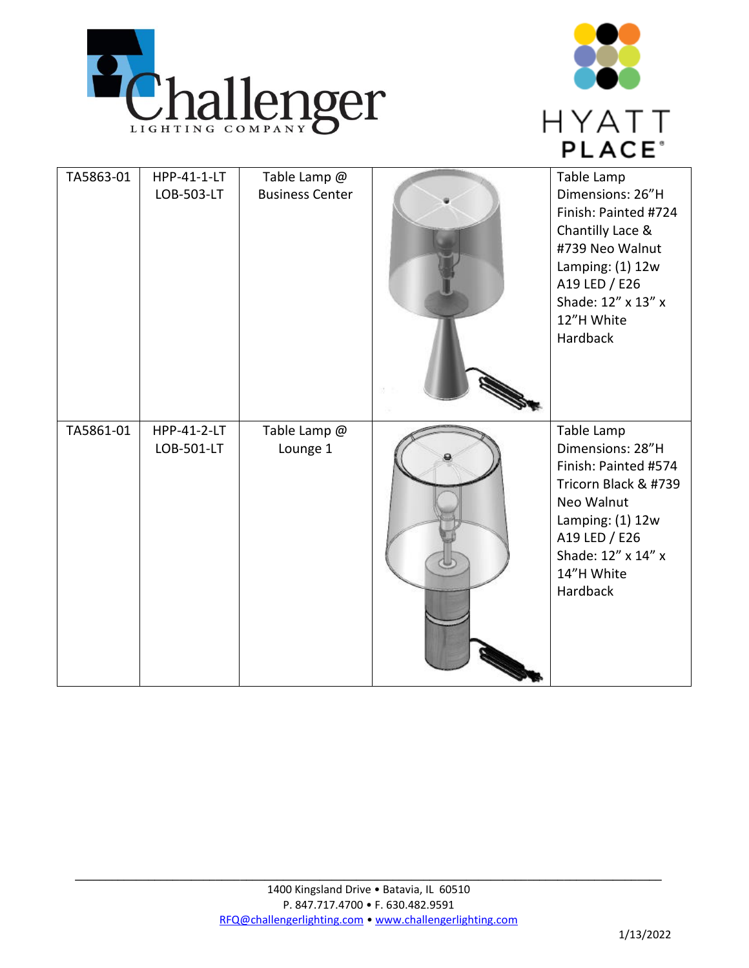



| TA5863-01 | HPP-41-1-LT<br>LOB-503-LT | Table Lamp @<br><b>Business Center</b> | Table Lamp<br>Dimensions: 26"H<br>Finish: Painted #724<br>Chantilly Lace &<br>#739 Neo Walnut<br>Lamping: $(1)$ 12w<br>A19 LED / E26<br>Shade: 12" x 13" x<br>12"H White<br>Hardback |
|-----------|---------------------------|----------------------------------------|--------------------------------------------------------------------------------------------------------------------------------------------------------------------------------------|
| TA5861-01 | HPP-41-2-LT<br>LOB-501-LT | Table Lamp @<br>Lounge 1               | Table Lamp<br>Dimensions: 28"H<br>Finish: Painted #574<br>Tricorn Black & #739<br>Neo Walnut<br>Lamping: $(1)$ 12w<br>A19 LED / E26<br>Shade: 12" x 14" x<br>14"H White<br>Hardback  |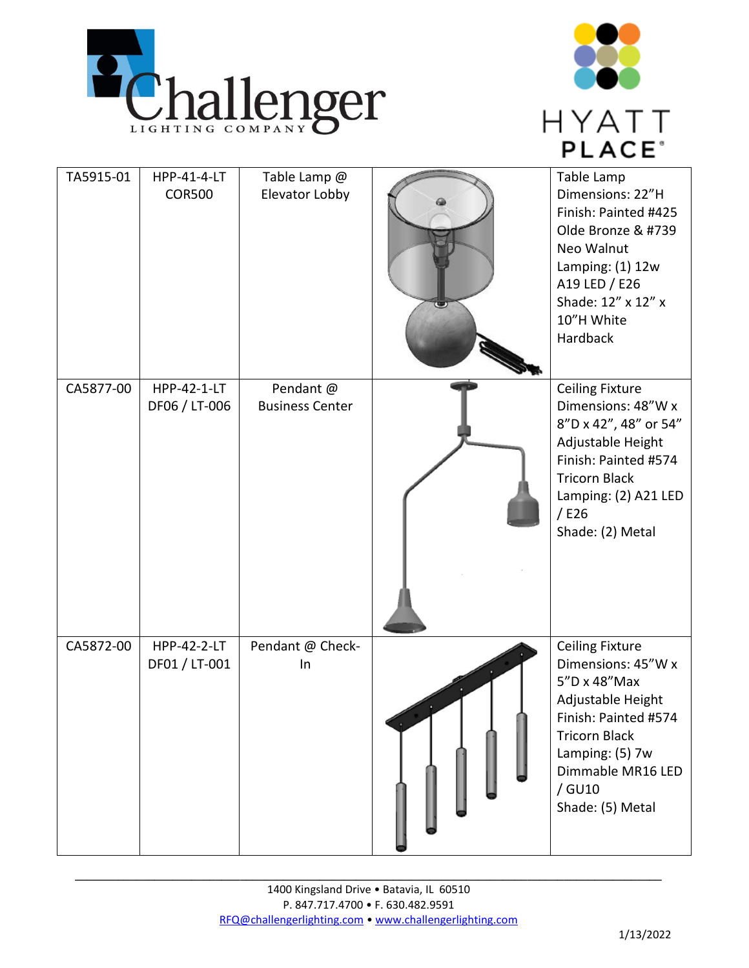



| TA5915-01 | HPP-41-4-LT        | Table Lamp @           | Table Lamp                                   |
|-----------|--------------------|------------------------|----------------------------------------------|
|           | <b>COR500</b>      | Elevator Lobby         | Dimensions: 22"H<br>Finish: Painted #425     |
|           |                    |                        | Olde Bronze & #739                           |
|           |                    |                        | Neo Walnut                                   |
|           |                    |                        | Lamping: $(1)$ 12w                           |
|           |                    |                        | A19 LED / E26<br>Shade: 12" x 12" x          |
|           |                    |                        | 10"H White                                   |
|           |                    |                        | Hardback                                     |
| CA5877-00 | HPP-42-1-LT        | Pendant @              | <b>Ceiling Fixture</b>                       |
|           | DF06 / LT-006      | <b>Business Center</b> | Dimensions: 48"W x                           |
|           |                    |                        | 8"D x 42", 48" or 54"<br>Adjustable Height   |
|           |                    |                        | Finish: Painted #574                         |
|           |                    |                        | <b>Tricorn Black</b><br>Lamping: (2) A21 LED |
|           |                    |                        | $/$ E26                                      |
|           |                    |                        | Shade: (2) Metal                             |
|           |                    |                        |                                              |
|           |                    |                        |                                              |
|           |                    |                        |                                              |
| CA5872-00 | <b>HPP-42-2-LT</b> | Pendant @ Check-       | <b>Ceiling Fixture</b>                       |
|           | DF01 / LT-001      | In                     | Dimensions: 45"W x                           |
|           |                    |                        | 5"D x 48"Max                                 |
|           |                    |                        | Adjustable Height<br>Finish: Painted #574    |
|           |                    |                        | <b>Tricorn Black</b>                         |
|           |                    |                        | Lamping: (5) 7w                              |
|           |                    |                        | Dimmable MR16 LED<br>/ GU10                  |
|           |                    |                        | Shade: (5) Metal                             |
|           |                    |                        |                                              |
|           |                    |                        |                                              |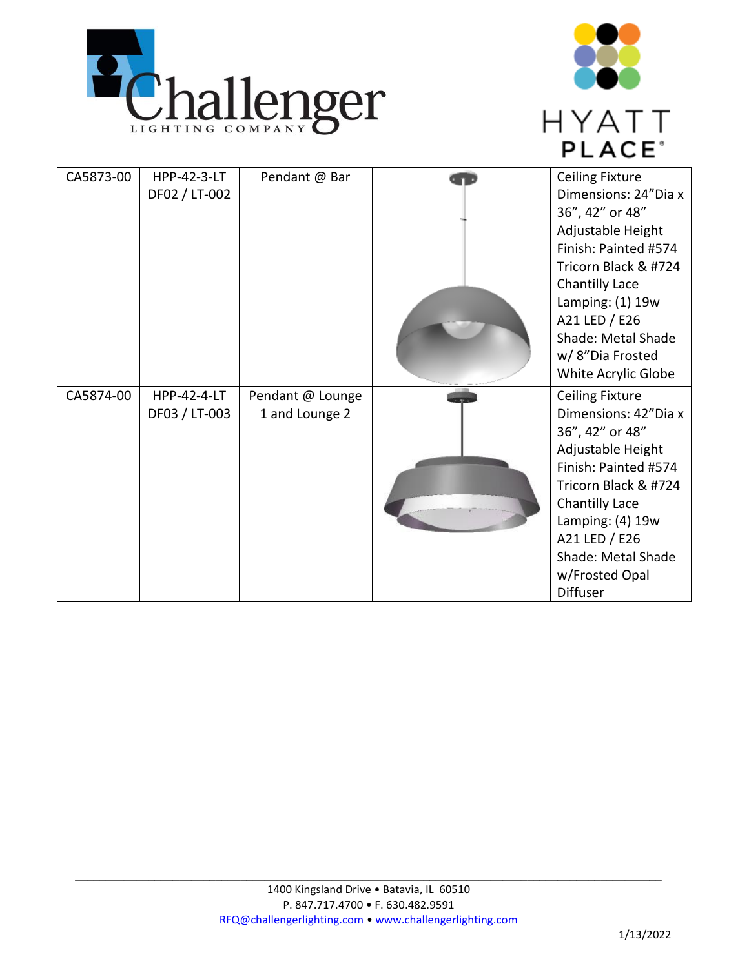



| CA5873-00 | <b>HPP-42-3-LT</b><br>DF02 / LT-002 | Pendant @ Bar                      | <b>Ceiling Fixture</b><br>Dimensions: 24"Dia x<br>36", 42" or 48"<br>Adjustable Height<br>Finish: Painted #574<br>Tricorn Black & #724<br>Chantilly Lace<br>Lamping: $(1)$ 19w<br>A21 LED / E26<br>Shade: Metal Shade<br>w/8"Dia Frosted<br>White Acrylic Globe |
|-----------|-------------------------------------|------------------------------------|-----------------------------------------------------------------------------------------------------------------------------------------------------------------------------------------------------------------------------------------------------------------|
| CA5874-00 | <b>HPP-42-4-LT</b><br>DF03 / LT-003 | Pendant @ Lounge<br>1 and Lounge 2 | <b>Ceiling Fixture</b><br>Dimensions: 42"Dia x<br>36", 42" or 48"<br>Adjustable Height<br>Finish: Painted #574<br>Tricorn Black & #724<br>Chantilly Lace<br>Lamping: (4) 19w<br>A21 LED / E26<br>Shade: Metal Shade<br>w/Frosted Opal<br><b>Diffuser</b>        |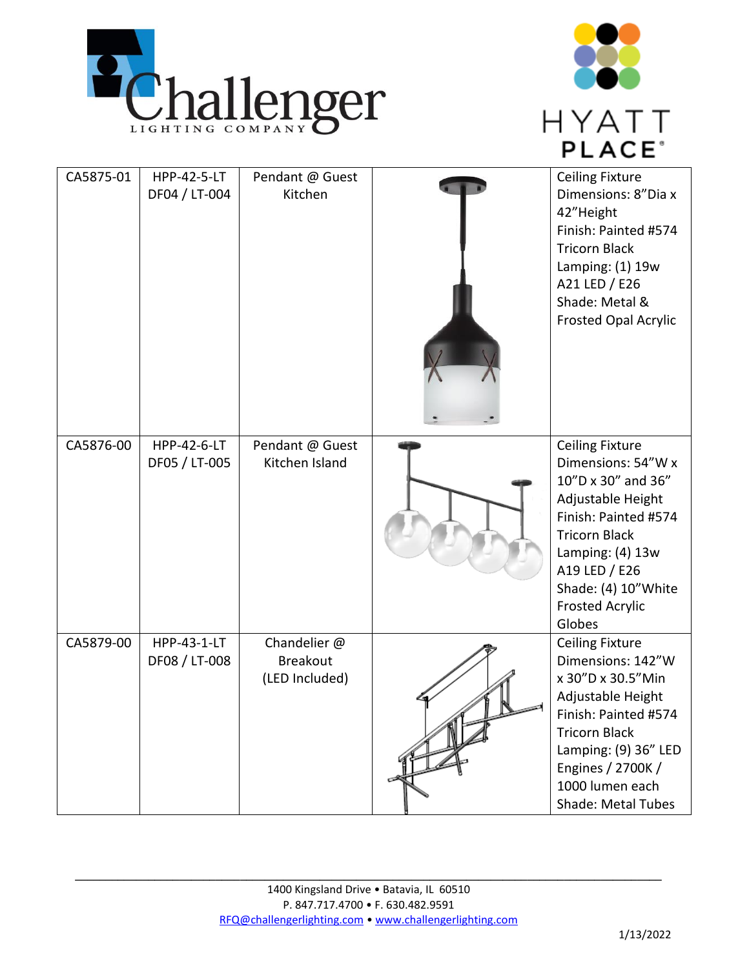



| CA5875-01 | HPP-42-5-LT<br>DF04 / LT-004 | Pendant @ Guest<br>Kitchen                        | <b>Ceiling Fixture</b><br>Dimensions: 8"Dia x<br>42"Height<br>Finish: Painted #574<br><b>Tricorn Black</b><br>Lamping: (1) 19w<br>A21 LED / E26<br>Shade: Metal &<br><b>Frosted Opal Acrylic</b>                                         |
|-----------|------------------------------|---------------------------------------------------|------------------------------------------------------------------------------------------------------------------------------------------------------------------------------------------------------------------------------------------|
| CA5876-00 | HPP-42-6-LT<br>DF05 / LT-005 | Pendant @ Guest<br>Kitchen Island                 | <b>Ceiling Fixture</b><br>Dimensions: 54"W x<br>10"D x 30" and 36"<br>Adjustable Height<br>Finish: Painted #574<br><b>Tricorn Black</b><br>Lamping: (4) 13w<br>A19 LED / E26<br>Shade: (4) 10" White<br><b>Frosted Acrylic</b><br>Globes |
| CA5879-00 | HPP-43-1-LT<br>DF08 / LT-008 | Chandelier @<br><b>Breakout</b><br>(LED Included) | <b>Ceiling Fixture</b><br>Dimensions: 142"W<br>x 30"D x 30.5"Min<br>Adjustable Height<br>Finish: Painted #574<br><b>Tricorn Black</b><br>Lamping: (9) 36" LED<br>Engines / 2700K /<br>1000 lumen each<br><b>Shade: Metal Tubes</b>       |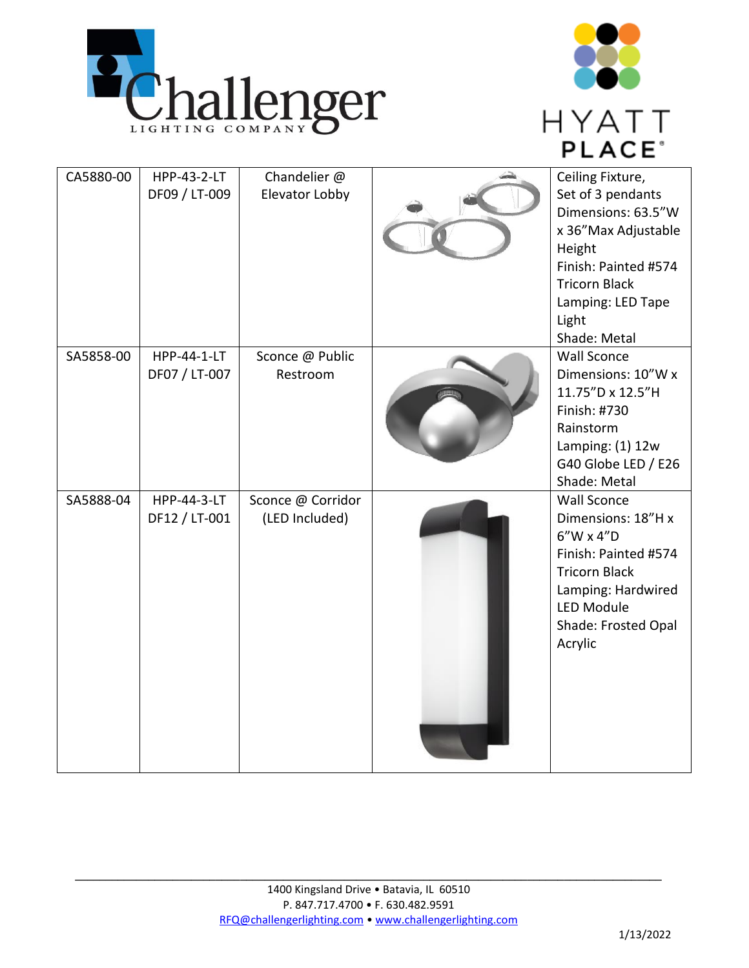



| CA5880-00 | HPP-43-2-LT<br>DF09 / LT-009 | Chandelier @<br>Elevator Lobby      | Ceiling Fixture,<br>Set of 3 pendants<br>Dimensions: 63.5"W<br>x 36"Max Adjustable<br>Height<br>Finish: Painted #574<br><b>Tricorn Black</b><br>Lamping: LED Tape<br>Light<br>Shade: Metal |
|-----------|------------------------------|-------------------------------------|--------------------------------------------------------------------------------------------------------------------------------------------------------------------------------------------|
| SA5858-00 | HPP-44-1-LT<br>DF07 / LT-007 | Sconce @ Public<br>Restroom         | <b>Wall Sconce</b><br>Dimensions: 10"W x<br>11.75"D x 12.5"H<br>Finish: #730<br>Rainstorm<br>Lamping: $(1)$ 12w<br>G40 Globe LED / E26<br>Shade: Metal                                     |
| SA5888-04 | HPP-44-3-LT<br>DF12 / LT-001 | Sconce @ Corridor<br>(LED Included) | <b>Wall Sconce</b><br>Dimensions: 18"H x<br>$6''$ W x 4"D<br>Finish: Painted #574<br><b>Tricorn Black</b><br>Lamping: Hardwired<br>LED Module<br>Shade: Frosted Opal<br>Acrylic            |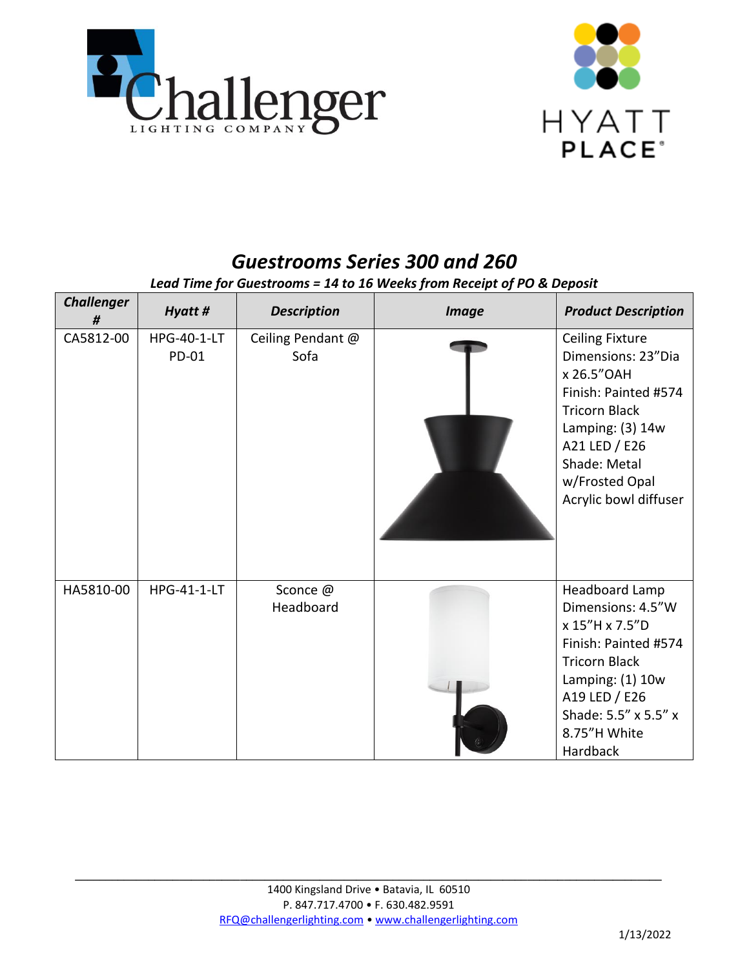



## *Guestrooms Series 300 and 260*

*Lead Time for Guestrooms = 14 to 16 Weeks from Receipt of PO & Deposit*

| <b>Challenger</b><br># | Hyatt #                     | <b>Description</b>        | <b>Image</b> | <b>Product Description</b>                                                                                                                                                                                    |
|------------------------|-----------------------------|---------------------------|--------------|---------------------------------------------------------------------------------------------------------------------------------------------------------------------------------------------------------------|
| CA5812-00              | <b>HPG-40-1-LT</b><br>PD-01 | Ceiling Pendant @<br>Sofa |              | <b>Ceiling Fixture</b><br>Dimensions: 23"Dia<br>x 26.5" OAH<br>Finish: Painted #574<br><b>Tricorn Black</b><br>Lamping: $(3)$ 14w<br>A21 LED / E26<br>Shade: Metal<br>w/Frosted Opal<br>Acrylic bowl diffuser |
| HA5810-00              | <b>HPG-41-1-LT</b>          | Sconce @<br>Headboard     |              | Headboard Lamp<br>Dimensions: 4.5"W<br>x 15"H x 7.5"D<br>Finish: Painted #574<br><b>Tricorn Black</b><br>Lamping: $(1)$ 10w<br>A19 LED / E26<br>Shade: 5.5" x 5.5" x<br>8.75"H White<br>Hardback              |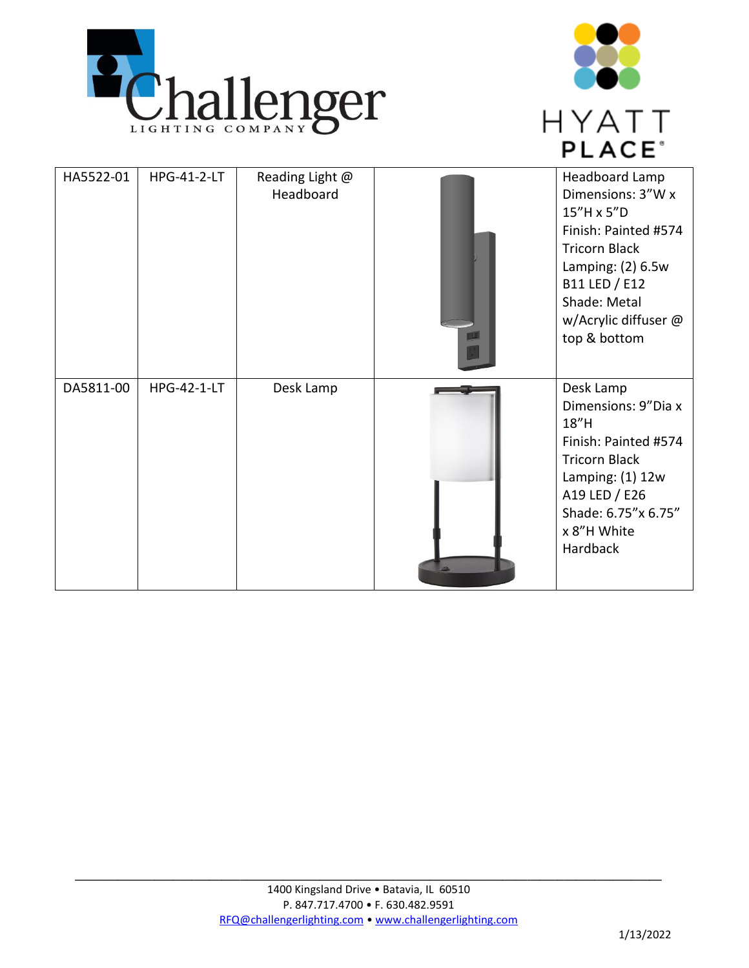



| HA5522-01 | HPG-41-2-LT        | Reading Light @<br>Headboard | <b>Headboard Lamp</b><br>Dimensions: 3"W x<br>15"H x 5"D<br>Finish: Painted #574<br><b>Tricorn Black</b><br>Lamping: $(2)$ 6.5w<br>B11 LED / E12<br>Shade: Metal<br>w/Acrylic diffuser @<br>top & bottom |
|-----------|--------------------|------------------------------|----------------------------------------------------------------------------------------------------------------------------------------------------------------------------------------------------------|
| DA5811-00 | <b>HPG-42-1-LT</b> | Desk Lamp                    | Desk Lamp<br>Dimensions: 9"Dia x<br>18"H<br>Finish: Painted #574<br><b>Tricorn Black</b><br>Lamping: $(1)$ 12w<br>A19 LED / E26<br>Shade: 6.75"x 6.75"<br>x 8"H White<br>Hardback                        |